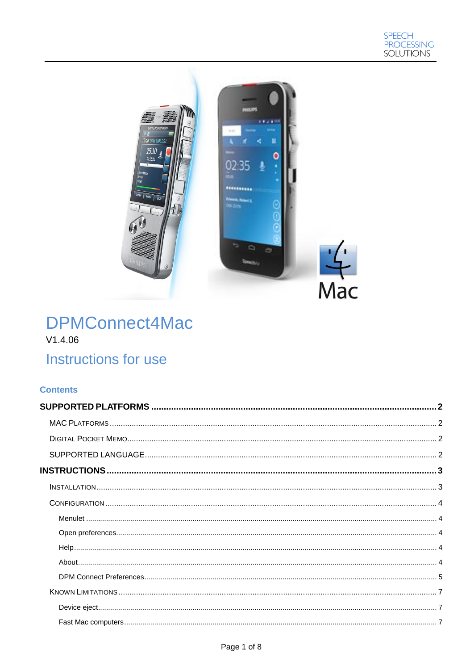

# **DPMConnect4Mac**  $V1.4.06$ Instructions for use

## **Contents**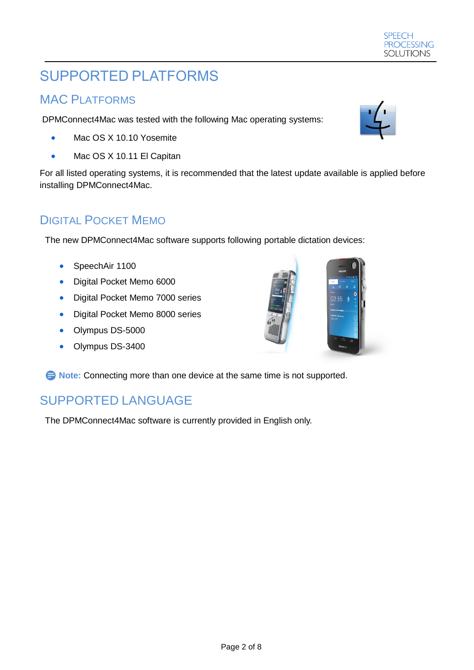# <span id="page-1-0"></span>SUPPORTED PLATFORMS

# <span id="page-1-1"></span>MAC PLATFORMS

DPMConnect4Mac was tested with the following Mac operating systems:

- Mac OS X 10.10 Yosemite
- Mac OS X 10.11 El Capitan

For all listed operating systems, it is recommended that the latest update available is applied before installing DPMConnect4Mac.

# <span id="page-1-2"></span>DIGITAL POCKET MEMO

The new DPMConnect4Mac software supports following portable dictation devices:

- SpeechAir 1100
- Digital Pocket Memo 6000
- Digital Pocket Memo 7000 series
- **•** Digital Pocket Memo 8000 series
- Olympus DS-5000
- Olympus DS-3400

**E** Note: Connecting more than one device at the same time is not supported.

# <span id="page-1-3"></span>SUPPORTED LANGUAGE

The DPMConnect4Mac software is currently provided in English only.





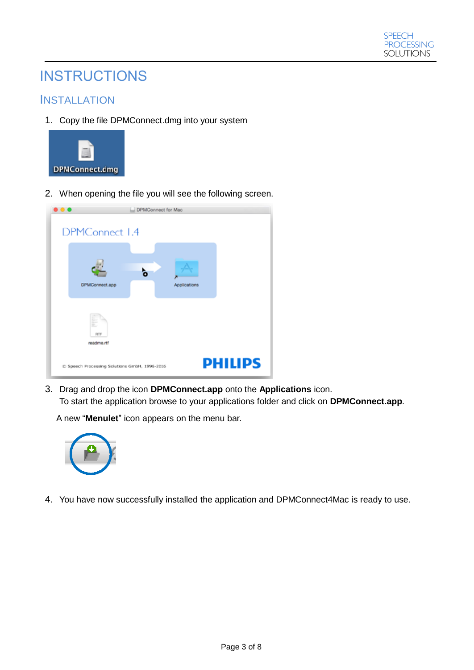

# <span id="page-2-0"></span>**INSTRUCTIONS**

## <span id="page-2-1"></span>**INSTALLATION**

1. Copy the file DPMConnect.dmg into your system



2. When opening the file you will see the following screen.

| . |                                               | DPMConnect for Mac |              |                |
|---|-----------------------------------------------|--------------------|--------------|----------------|
|   |                                               |                    |              |                |
|   | DPMConnect 1.4                                |                    |              |                |
|   |                                               |                    |              |                |
|   |                                               |                    |              |                |
|   | DPMConnect.app                                |                    | Applications |                |
|   |                                               |                    |              |                |
|   | 跖<br>$\sim$<br>p.<br><b>BTF</b>               |                    |              |                |
|   | readme.rtf                                    |                    |              |                |
|   | @ Speech Processing Solutions GmbH, 1996-2016 |                    |              | <b>PHILIPS</b> |

3. Drag and drop the icon **DPMConnect.app** onto the **Applications** icon. To start the application browse to your applications folder and click on **DPMConnect.app**.

A new "**Menulet**" icon appears on the menu bar.



4. You have now successfully installed the application and DPMConnect4Mac is ready to use.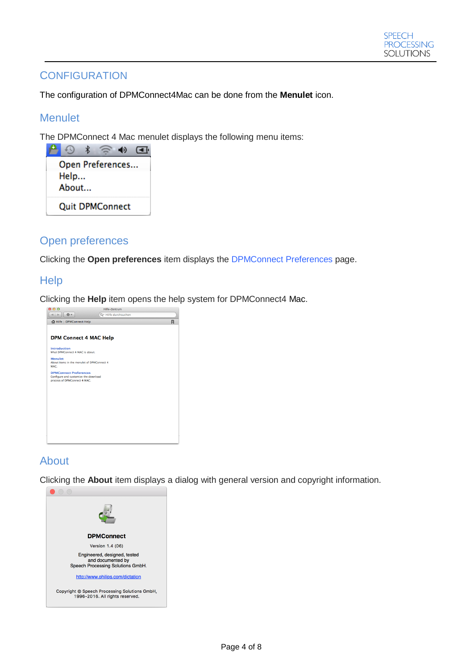## <span id="page-3-0"></span>**CONFIGURATION**

The configuration of DPMConnect4Mac can be done from the **Menulet** icon.

## <span id="page-3-1"></span>**Menulet**

The DPMConnect 4 Mac menulet displays the following menu items:



## <span id="page-3-2"></span>Open preferences

Clicking the **Open preferences** item displays the DPMConnect Preferences page.

## <span id="page-3-3"></span>**Help**



## <span id="page-3-4"></span>About

Clicking the **About** item displays a dialog with general version and copyright information.

| <b>DPMConnect</b>                                                                      |
|----------------------------------------------------------------------------------------|
| Version 1.4 (06)                                                                       |
| Engineered, designed, tested<br>and documented by<br>Speech Processing Solutions GmbH. |
| http://www.philips.com/dictation                                                       |
| Copyright © Speech Processing Solutions GmbH,<br>1996-2016. All rights reserved.       |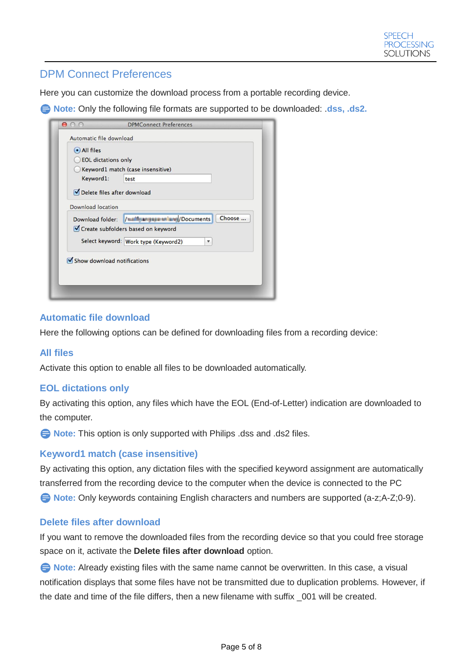## <span id="page-4-0"></span>DPM Connect Preferences

Here you can customize the download process from a portable recording device.

**E** Note: Only the following file formats are supported to be downloaded: .dss, .ds2.

| (•) All files<br><b>EOL dictations only</b> |                                                              |
|---------------------------------------------|--------------------------------------------------------------|
|                                             | Keyword1 match (case insensitive)                            |
| Keyword1:                                   | test                                                         |
| Delete files after download                 |                                                              |
| <b>Download location</b>                    |                                                              |
| Download folder:                            | Choose<br>/ / mail ar just this and / Documents              |
|                                             | Create subfolders based on keyword                           |
|                                             | Select keyword: Work type (Keyword2)<br>$\blacktriangledown$ |
| Show download notifications                 |                                                              |
|                                             |                                                              |

### **Automatic file download**

Here the following options can be defined for downloading files from a recording device:

### **All files**

Activate this option to enable all files to be downloaded automatically.

### **EOL dictations only**

By activating this option, any files which have the EOL (End-of-Letter) indication are downloaded to the computer.

**E** Note: This option is only supported with Philips .dss and .ds2 files.

### **Keyword1 match (case insensitive)**

By activating this option, any dictation files with the specified keyword assignment are automatically transferred from the recording device to the computer when the device is connected to the PC **B** Note: Only keywords containing English characters and numbers are supported (a-z;A-Z;0-9).

### **Delete files after download**

If you want to remove the downloaded files from the recording device so that you could free storage space on it, activate the **Delete files after download** option.

**E** Note: Already existing files with the same name cannot be overwritten. In this case, a visual notification displays that some files have not be transmitted due to duplication problems. However, if the date and time of the file differs, then a new filename with suffix \_001 will be created.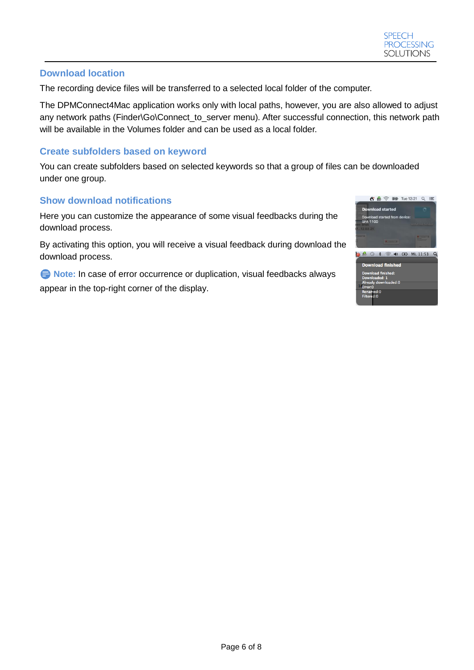#### **Download location**

The recording device files will be transferred to a selected local folder of the computer.

The DPMConnect4Mac application works only with local paths, however, you are also allowed to adjust any network paths (Finder\Go\Connect\_to\_server menu). After successful connection, this network path will be available in the Volumes folder and can be used as a local folder.

#### **Create subfolders based on keyword**

You can create subfolders based on selected keywords so that a group of files can be downloaded under one group.

### **Show download notifications**

Here you can customize the appearance of some visual feedbacks during the download process.

By activating this option, you will receive a visual feedback during download the download process.

**E** Note: In case of error occurrence or duplication, visual feedbacks always appear in the top-right corner of the display.

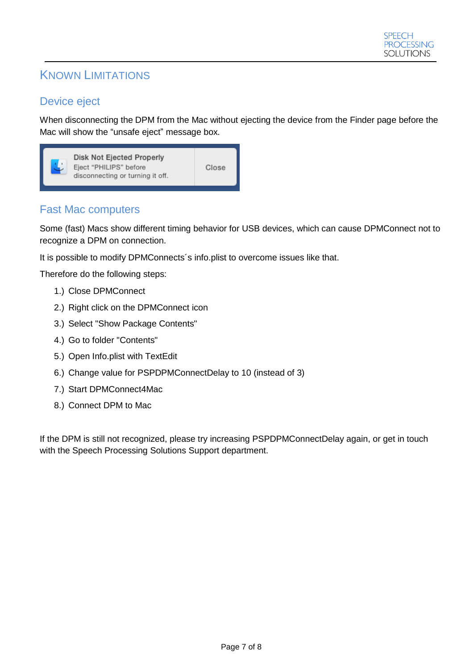# <span id="page-6-0"></span>KNOWN LIMITATIONS

## <span id="page-6-1"></span>Device eject

When disconnecting the DPM from the Mac without ejecting the device from the Finder page before the Mac will show the "unsafe eject" message box.



## <span id="page-6-2"></span>Fast Mac computers

Some (fast) Macs show different timing behavior for USB devices, which can cause DPMConnect not to recognize a DPM on connection.

It is possible to modify DPMConnects´s info.plist to overcome issues like that.

Therefore do the following steps:

- 1.) Close DPMConnect
- 2.) Right click on the DPMConnect icon
- 3.) Select "Show Package Contents"
- 4.) Go to folder "Contents"
- 5.) Open Info.plist with TextEdit
- 6.) Change value for PSPDPMConnectDelay to 10 (instead of 3)
- 7.) Start DPMConnect4Mac
- 8.) Connect DPM to Mac

If the DPM is still not recognized, please try increasing PSPDPMConnectDelay again, or get in touch with the Speech Processing Solutions Support department.